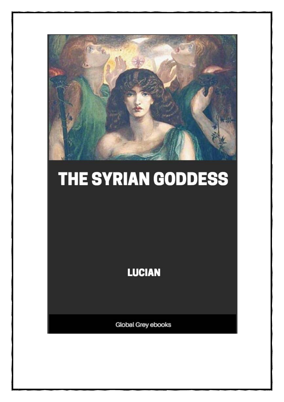

# THE SYRIAN GODDESS

**LUCIAN** 

Global Grey ebooks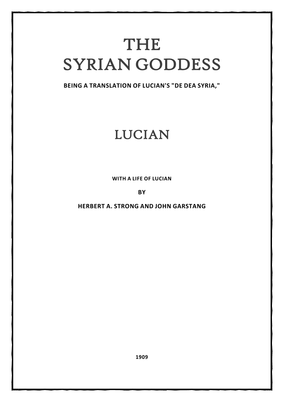# THE SYRIAN GODDESS

**BEING A TRANSLATION OF LUCIAN'S "DE DEA SYRIA,"**

# LUCIAN

**WITH A LIFE OF LUCIAN**

**BY**

**HERBERT A. STRONG AND JOHN GARSTANG**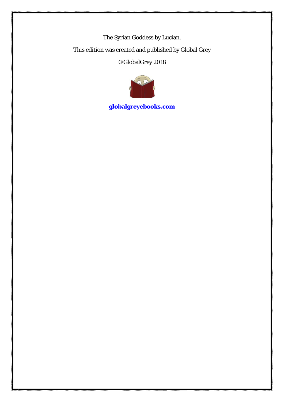The Syrian Goddess by Lucian. This edition was created and published by Global Grey ©GlobalGrey 2018



**[globalgreyebooks.com](https://www.globalgreyebooks.com/)**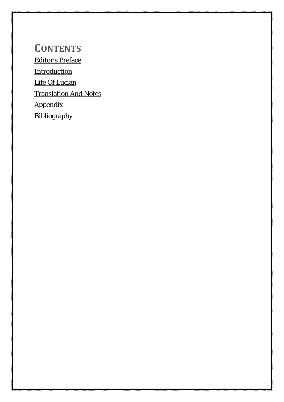**CONTENTS** [Editor's Preface](#page-4-0) **[Introduction](#page-6-0)** [Life Of Lucian](#page-18-0) [Translation And Notes](#page-24-0) [Appendix](#page-44-0) **[Bibliography](#page-49-0)**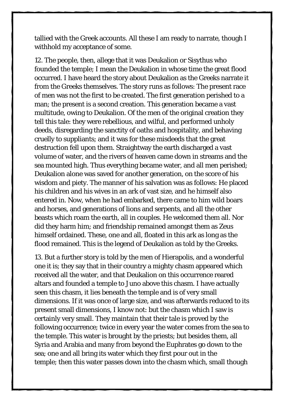tallied with the Greek accounts. All these I am ready to narrate, though I withhold my acceptance of some.

12. The people, then, allege that it was Deukalion or Sisythus who founded the temple; I mean the Deukalion in whose time the great flood occurred. I have heard the story about Deukalion as the Greeks narrate it from the Greeks themselves. The story runs as follows: The present race of men was not the first to be created. The first generation perished to a man; the present is a second creation. This generation became a vast multitude, owing to Deukalion. Of the men of the original creation they tell this tale: they were rebellious, and wilful, and performed unholy deeds, disregarding the sanctity of oaths and hospitality, and behaving cruelly to suppliants; and it was for these misdeeds that the great destruction fell upon them. Straightway the earth discharged a vast volume of water, and the rivers of heaven came down in streams and the sea mounted high. Thus everything became water, and all men perished; Deukalion alone was saved for another generation, on the score of his wisdom and piety. The manner of his salvation was as follows: He placed his children and his wives in an ark of vast size, and he himself also entered in. Now, when he had embarked, there came to him wild boars and horses, and generations of lions and serpents, and all the other beasts which roam the earth, all in couples. He welcomed them all. Nor did they harm him; and friendship remained amongst them as Zeus himself ordained. These, one and all, floated in this ark as long as the flood remained. This is the legend of Deukalion as told by the Greeks.

13. But a further story is told by the men of Hierapolis, and a wonderful one it is; they say that in their country a mighty chasm appeared which received all the water, and that Deukalion on this occurrence reared altars and founded a temple to Juno above this chasm. I have actually seen this chasm, it lies beneath the temple and is of very small dimensions. If it was once of large size, and was afterwards reduced to its present small dimensions, I know not: but the chasm which I saw is certainly very small. They maintain that their tale is proved by the following occurrence; twice in every year the water comes from the sea to the temple. This water is brought by the priests; but besides them, all Syria and Arabia and many from beyond the Euphrates go down to the sea; one and all bring its water which they first pour out in the temple; then this water passes down into the chasm which, small though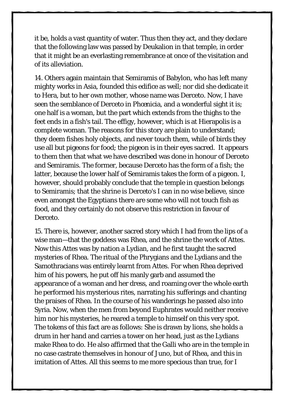it be, holds a vast quantity of water. Thus then they act, and they declare that the following law was passed by Deukalion in that temple, in order that it might be an everlasting remembrance at once of the visitation and of its alleviation.

14. Others again maintain that Semiramis of Babylon, who has left many mighty works in Asia, founded this edifice as well; nor did she dedicate it to Hera, but to her own mother, whose name was Derceto. Now, I have seen the semblance of Derceto in Phœnicia, and a wonderful sight it is; one half is a woman, but the part which extends from the thighs to the feet ends in a fish's tail. The effigy, however, which is at Hierapolis is a complete woman. The reasons for this story are plain to understand; they deem fishes holy objects, and never touch them, while of birds they use all but pigeons for food; the pigeon is in their eyes sacred. It appears to them then that what we have described was done in honour of Derceto and Semiramis. The former, because Derceto has the form of a fish; the latter, because the lower half of Semiramis takes the form of a pigeon. I, however, should probably conclude that the temple in question belongs to Semiramis; that the shrine is Derceto's I can in no wise believe, since even amongst the Egyptians there are some who will not touch fish as food, and they certainly do not observe this restriction in favour of Derceto.

15. There is, however, another sacred story which I had from the lips of a wise man—that the goddess was Rhea, and the shrine the work of Attes. Now this Attes was by nation a Lydian, and he first taught the sacred mysteries of Rhea. The ritual of the Phrygians and the Lydians and the Samothracians was entirely learnt from Attes. For when Rhea deprived him of his powers, he put off his manly garb and assumed the appearance of a woman and her dress, and roaming over the whole earth he performed his mysterious rites, narrating his sufferings and chanting the praises of Rhea. In the course of his wanderings he passed also into Syria. Now, when the men from beyond Euphrates would neither receive him nor his mysteries, he reared a temple to himself on this very spot. The tokens of this fact are as follows: She is drawn by lions, she holds a drum in her hand and carries a tower on her head, just as the Lydians make Rhea to do. He also affirmed that the Galli who are in the temple in no case castrate themselves in honour of Juno, but of Rhea, and this in imitation of Attes. All this seems to me more specious than true, for I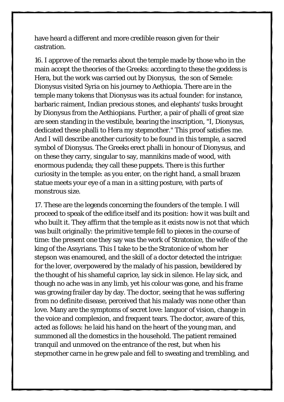have heard a different and more credible reason given for their castration.

16. I approve of the remarks about the temple made by those who in the main accept the theories of the Greeks: according to these the goddess is Hera, but the work was carried out by Dionysus, the son of Semele: Dionysus visited Syria on his journey to Aethiopia. There are in the temple many tokens that Dionysus was its actual founder: for instance, barbaric raiment, Indian precious stones, and elephants' tusks brought by Dionysus from the Aethiopians. Further, a pair of phalli of great size are seen standing in the vestibule, bearing the inscription, "I, Dionysus, dedicated these phalli to Hera my stepmother." This proof satisfies me. And I will describe another curiosity to be found in this temple, a sacred symbol of Dionysus. The Greeks erect phalli in honour of Dionysus, and on these they carry, singular to say, mannikins made of wood, with enormous pudenda; they call these puppets. There is this further curiosity in the temple: as you enter, on the right hand, a small brazen statue meets your eye of a man in a sitting posture, with parts of monstrous size.

17. These are the legends concerning the founders of the temple. I will proceed to speak of the edifice itself and its position: how it was built and who built it. They affirm that the temple as it exists now is not that which was built originally: the primitive temple fell to pieces in the course of time: the present one they say was the work of Stratonice, the wife of the king of the Assyrians. This I take to be the Stratonice of whom her stepson was enamoured, and the skill of a doctor detected the intrigue: for the lover, overpowered by the malady of his passion, bewildered by the thought of his shameful caprice, lay sick in silence. He lay sick, and though no ache was in any limb, yet his colour was gone, and his frame was growing frailer day by day. The doctor, seeing that he was suffering from no definite disease, perceived that his malady was none other than love. Many are the symptoms of secret love: languor of vision, change in the voice and complexion, and frequent tears. The doctor, aware of this, acted as follows: he laid his hand on the heart of the young man, and summoned all the domestics in the household. The patient remained tranquil and unmoved on the entrance of the rest, but when his stepmother carne in he grew pale and fell to sweating and trembling, and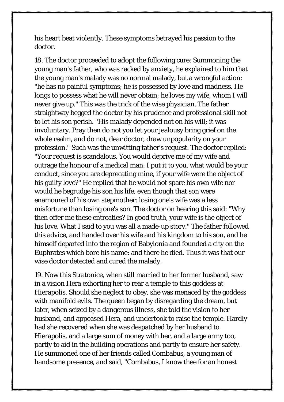his heart beat violently. These symptoms betrayed his passion to the doctor.

18. The doctor proceeded to adopt the following cure: Summoning the young man's father, who was racked by anxiety, he explained to him that the young man's malady was no normal malady, but a wrongful action: "he has no painful symptoms; he is possessed by love and madness. He longs to possess what he will never obtain; he loves my wife, whom I will never give up." This was the trick of the wise physician. The father straightway begged the doctor by his prudence and professional skill not to let his son perish. "His malady depended not on his will; it was involuntary. Pray then do not you let your jealousy bring grief on the whole realm, and do not, dear doctor, draw unpopularity on your profession." Such was the unwitting father's request. The doctor replied: "Your request is scandalous. You would deprive me of my wife and outrage the honour of a medical man. I put it to you, what would be your conduct, since you are deprecating mine, if your wife were the object of his guilty love?" He replied that he would not spare his own wife nor would he begrudge his son his life, even though that son were enamoured of his own stepmother: losing one's wife was a less misfortune than losing one's son. The doctor on hearing this said: "Why then offer me these entreaties? In good truth, your wife is the object of his love. What I said to you was all a made-up story." The father followed this advice, and handed over his wife and his kingdom to his son, and he himself departed into the region of Babylonia and founded a city on the Euphrates which bore his name: and there he died. Thus it was that our wise doctor detected and cured the malady.

19. Now this Stratonice, when still married to her former husband, saw in a vision Hera exhorting her to rear a temple to this goddess at Hierapolis. Should she neglect to obey, she was menaced by the goddess with manifold evils. The queen began by disregarding the dream, but later, when seized by a dangerous illness, she told the vision to her husband, and appeased Hera, and undertook to raise the temple. Hardly had she recovered when she was despatched by her husband to Hierapolis, and a large sum of money with her, and a large army too, partly to aid in the building operations and partly to ensure her safety. He summoned one of her friends called Combabus, a young man of handsome presence, and said, "Combabus, I know thee for an honest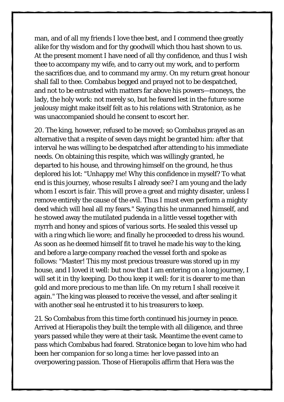man, and of all my friends I love thee best, and I commend thee greatly alike for thy wisdom and for thy goodwill which thou hast shown to us. At the present moment I have need of all thy confidence, and thus I wish thee to accompany my wife, and to carry out my work, and to perform the sacrifices due, and to command my army. On my return great honour shall fall to thee. Combabus begged and prayed not to be despatched, and not to be entrusted with matters far above his powers—moneys, the lady, the holy work: not merely so, but he feared lest in the future some jealousy might make itself felt as to his relations with Stratonice, as he was unaccompanied should he consent to escort her.

20. The king, however, refused to be moved; so Combabus prayed as an alternative that a respite of seven days might be granted him: after that interval he was willing to be despatched after attending to his immediate needs. On obtaining this respite, which was willingly granted, he departed to his house, and throwing himself on the ground, he thus deplored his lot: "Unhappy me! Why this confidence in myself? To what end is this journey, whose results I already see? I am young and the lady whom I escort is fair. This will prove a great and mighty disaster, unless I remove entirely the cause of the evil. Thus I must even perform a mighty deed which will heal all my fears." Saying this he unmanned himself, and he stowed away the mutilated pudenda in a little vessel together with myrrh and honey and spices of various sorts. He sealed this vessel up with a ring which lie wore; and finally he proceeded to dress his wound. As soon as he deemed himself fit to travel he made his way to the king, and before a large company reached the vessel forth and spoke as follows: "Master! This my most precious treasure was stored up in my house, and I loved it well: but now that I am entering on a long journey, I will set it in thy keeping. Do thou keep it well: for it is dearer to me than gold and more precious to me than life. On my return I shall receive it again." The king was pleased to receive the vessel, and after sealing it with another seal he entrusted it to his treasurers to keep.

21. So Combabus from this time forth continued his journey in peace. Arrived at Hierapolis they built the temple with all diligence, and three years passed while they were at their task. Meantime the event came to pass which Combabus had feared. Stratonice began to love him who had been her companion for so long a time: her love passed into an overpowering passion. Those of Hierapolis affirm that Hera was the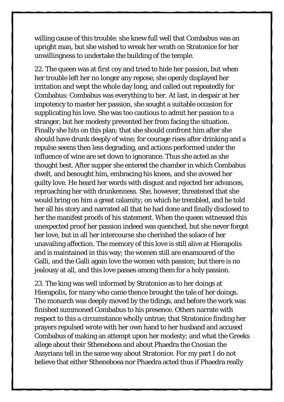willing cause of this trouble: she knew full well that Combabus was an upright man, but she wished to wreak her wrath on Stratonice for her unwillingness to undertake the building of the temple.

22. The queen was at first coy and tried to hide her passion, but when her trouble left her no longer any repose, she openly displayed her irritation and wept the whole day long, and called out repeatedly for Combabus: Combabus was everything to her. At last, in despair at her impotency to master her passion, she sought a suitable occasion for supplicating his love. She was too cautious to admit her passion to a stranger, but her modesty prevented her from facing the situation. Finally she hits on this plan; that she should confront him after she should have drunk deeply of wine; for courage rises after drinking and a repulse seems then less degrading, and actions performed under the influence of wine are set down to ignorance. Thus she acted as she thought best. After supper she entered the chamber in which Combabus dwelt, and besought him, embracing his knees, and she avowed her guilty love. He heard her words with disgust and rejected her advances, reproaching her with drunkenness. She, however, threatened that she would bring on him a great calamity; on which he trembled, and he told her all his story and narrated all that he had done and finally disclosed to her the manifest proofs of his statement. When the queen witnessed this unexpected proof her passion indeed was quenched, but she never forgot her love, but in all her intercourse she cherished the solace of her unavailing affection. The memory of this love is still alive at Hierapolis and is maintained in this way; the women still are enamoured of the Galli, and the Galli again love the women with passion; but there is no jealousy at all, and this love passes among them for a holy passion.

23. The king was well informed by Stratonice as to her doings at Hierapolis, for many who came thence brought the tale of her doings. The monarch was deeply moved by the tidings, and before the work was finished summoned Combabus to his presence. Others narrate with respect to this a circumstance wholly untrue; that Stratonice finding her prayers repulsed wrote with her own hand to her husband and accused Combabus of making an attempt upon her modesty; and what the Greeks allege about their Stheneboea and about Phaedra the Cnosian the Assyrians tell in the same way about Stratonice. For my part I do not believe that either Stheneboea nor Phaedra acted thus if Phaedra really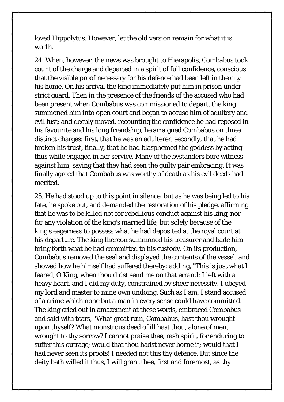loved Hippolytus. However, let the old version remain for what it is worth.

24. When, however, the news was brought to Hierapolis, Combabus took count of the charge and departed in a spirit of full confidence, conscious that the visible proof necessary for his defence had been left in the city his home. On his arrival the king immediately put him in prison under strict guard. Then in the presence of the friends of the accused who had been present when Combabus was commissioned to depart, the king summoned him into open court and began to accuse him of adultery and evil lust; and deeply moved, recounting the confidence he had reposed in his favourite and his long friendship, he arraigned Combabus on three distinct charges: first, that he was an adulterer, secondly, that he had broken his trust, finally, that he had blasphemed the goddess by acting thus while engaged in her service. Many of the bystanders bore witness against him, saying that they had seen the guilty pair embracing. It was finally agreed that Combabus was worthy of death as his evil deeds had merited.

25. He had stood up to this point in silence, but as he was being led to his fate, he spoke out, and demanded the restoration of his pledge, affirming that he was to be killed not for rebellious conduct against his king, nor for any violation of the king's married life, but solely because of the king's eagerness to possess what he had deposited at the royal court at his departure. The king thereon summoned his treasurer and bade him bring forth what he had committed to his custody. On its production, Combabus removed the seal and displayed the contents of the vessel, and showed how he himself had suffered thereby; adding, "This is just what I feared, O King, when thou didst send me on that errand: I left with a heavy heart, and I did my duty, constrained by sheer necessity. I obeyed my lord and master to mine own undoing. Such as I am, I stand accused of a crime which none but a man in every sense could have committed. The king cried out in amazement at these words, embraced Combabus and said with tears, "What great ruin, Combabus, hast thou wrought upon thyself? What monstrous deed of ill hast thou, alone of men, wrought to thy sorrow? I cannot praise thee, rash spirit, for enduring to suffer this outrage; would that thou hadst never borne it; would that I had never seen its proofs! I needed not this thy defence. But since the deity bath willed it thus, I will grant thee, first and foremost, as thy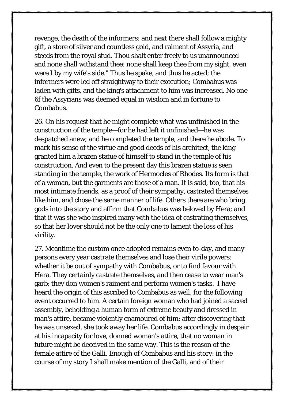revenge, the death of the informers: and next there shall follow a mighty gift, a store of silver and countless gold, and raiment of Assyria, and steeds from the royal stud. Thou shalt enter freely to us unannounced and none shall withstand thee: none shall keep thee from my sight, even were I by my wife's side." Thus he spake, and thus he acted; the informers were led off straightway to their execution; Combabus was laden with gifts, and the king's attachment to him was increased. No one 6f the Assyrians was deemed equal in wisdom and in fortune to Combabus.

26. On his request that he might complete what was unfinished in the construction of the temple—for he had left it unfinished—he was despatched anew; and he completed the temple, and there he abode. To mark his sense of the virtue and good deeds of his architect, the king granted him a brazen statue of himself to stand in the temple of his construction. And even to the present day this brazen statue is seen standing in the temple, the work of Hermocles of Rhodes. Its form is that of a woman, but the garments are those of a man. It is said, too, that his most intimate friends, as a proof of their sympathy, castrated themselves like him, and chose the same manner of life. Others there are who bring gods into the story and affirm that Combabus was beloved by Hera; and that it was she who inspired many with the idea of castrating themselves, so that her lover should not be the only one to lament the loss of his virility.

27. Meantime the custom once adopted remains even to-day, and many persons every year castrate themselves and lose their virile powers: whether it be out of sympathy with Combabus, or to find favour with Hera. They certainly castrate themselves, and then cease to wear man's garb; they don women's raiment and perform women's tasks. I have heard the origin of this ascribed to Combabus as well, for the following event occurred to him. A certain foreign woman who had joined a sacred assembly, beholding a human form of extreme beauty and dressed in man's attire, became violently enamoured of him: after discovering that he was unsexed, she took away her life. Combabus accordingly in despair at his incapacity for love, donned woman's attire, that no woman in future might be deceived in the same way. This is the reason of the female attire of the Galli. Enough of Combabus and his story: in the course of my story I shall make mention of the Galli, and of their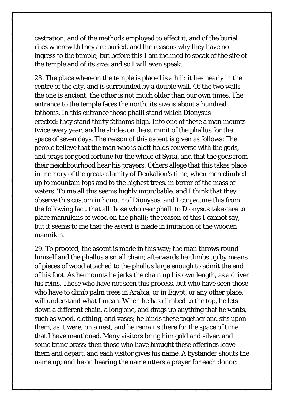castration, and of the methods employed to effect it, and of the burial rites wherewith they are buried, and the reasons why they have no ingress to the temple; but before this I am inclined to speak of the site of the temple and of its size: and so I will even speak.

28. The place whereon the temple is placed is a hill: it lies nearly in the centre of the city, and is surrounded by a double wall. Of the two walls the one is ancient; the other is not much older than our own times. The entrance to the temple faces the north; its size is about a hundred fathoms. In this entrance those phalli stand which Dionysus erected: they stand thirty fathoms high. Into one of these a man mounts twice every year, and he abides on the summit of the phallus for the space of seven days. The reason of this ascent is given as follows: The people believe that the man who is aloft holds converse with the gods, and prays for good fortune for the whole of Syria, and that the gods from their neighbourhood hear his prayers. Others allege that this takes place in memory of the great calamity of Deukalion's time, when men climbed up to mountain tops and to the highest trees, in terror of the mass of waters. To me all this seems highly improbable, and I think that they observe this custom in honour of Dionysus, and I conjecture this from the following fact, that all those who rear phalli to Dionysus take care to place mannikins of wood on the phalli; the reason of this I cannot say, but it seems to me that the ascent is made in imitation of the wooden mannikin.

29. To proceed, the ascent is made in this way; the man throws round himself and the phallus a small chain; afterwards he climbs up by means of pieces of wood attached to the phallus large enough to admit the end of his foot. As he mounts he jerks the chain up his own length, as a driver his reins. Those who have not seen this process, but who have seen those who have to climb palm trees in Arabia, or in Egypt, or any other place, will understand what I mean. When he has climbed to the top, he lets down a different chain, a long one, and drags up anything that he wants, such as wood, clothing, and vases; he binds these together and sits upon them, as it were, on a nest, and he remains there for the space of time that I have mentioned. Many visitors bring him gold and silver, and some bring brass; then those who have brought these offerings leave them and depart, and each visitor gives his name. A bystander shouts the name up; and he on hearing the name utters a prayer for each donor;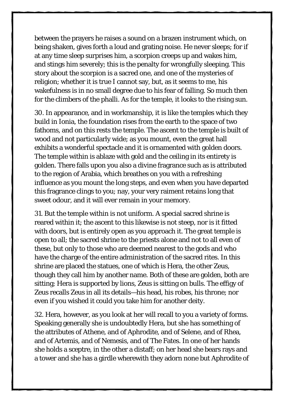between the prayers he raises a sound on a brazen instrument which, on being shaken, gives forth a loud and grating noise. He never sleeps; for if at any time sleep surprises him, a scorpion creeps up and wakes him, and stings him severely; this is the penalty for wrongfully sleeping. This story about the scorpion is a sacred one, and one of the mysteries of religion; whether it is true I cannot say, but, as it seems to me, his wakefulness is in no small degree due to his fear of falling. So much then for the climbers of the phalli. As for the temple, it looks to the rising sun.

30. In appearance, and in workmanship, it is like the temples which they build in Ionia, the foundation rises from the earth to the space of two fathoms, and on this rests the temple. The ascent to the temple is built of wood and not particularly wide; as you mount, even the great hall exhibits a wonderful spectacle and it is ornamented with golden doors. The temple within is ablaze with gold and the ceiling in its entirety is golden. There falls upon you also a divine fragrance such as is attributed to the region of Arabia, which breathes on you with a refreshing influence as you mount the long steps, and even when you have departed this fragrance clings to you; nay, your very raiment retains long that sweet odour, and it will ever remain in your memory.

31. But the temple within is not uniform. A special sacred shrine is reared within it; the ascent to this likewise is not steep, nor is it fitted with doors, but is entirely open as you approach it. The great temple is open to all; the sacred shrine to the priests alone and not to all even of these, but only to those who are deemed nearest to the gods and who have the charge of the entire administration of the sacred rites. In this shrine are placed the statues, one of which is Hera, the other Zeus, though they call him by another name. Both of these are golden, both are sitting; Hera is supported by lions, Zeus is sitting on bulls. The effigy of Zeus recalls Zeus in all its details—his head, his robes, his throne; nor even if you wished it could you take him for another deity.

32. Hera, however, as you look at her will recall to you a variety of forms. Speaking generally she is undoubtedly Hera, but she has something of the attributes of Athene, and of Aphrodite, and of Selene, and of Rhea, and of Artemis, and of Nemesis, and of The Fates. In one of her hands she holds a sceptre, in the other a distaff; on her head she bears rays and a tower and she has a girdle wherewith they adorn none but Aphrodite of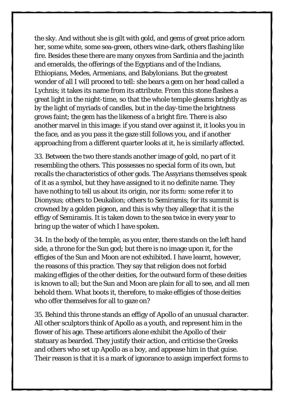the sky. And without she is gilt with gold, and gems of great price adorn her, some white, some sea-green, others wine-dark, others flashing like fire. Besides these there are many onyxes from Sardinia and the jacinth and emeralds, the offerings of the Egyptians and of the Indians, Ethiopians, Medes, Armenians, and Babylonians. But the greatest wonder of all I will proceed to tell: she bears a gem on her head called a Lychnis; it takes its name from its attribute. From this stone flashes a great light in the night-time, so that the whole temple gleams brightly as by the light of myriads of candles, but in the day-time the brightness grows faint; the gem has the likeness of a bright fire. There is also another marvel in this image: if you stand over against it, it looks you in the face, and as you pass it the gaze still follows you, and if another approaching from a different quarter looks at it, he is similarly affected.

33. Between the two there stands another image of gold, no part of it resembling the others. This possesses no special form of its own, but recalls the characteristics of other gods. The Assyrians themselves speak of it as a symbol, but they have assigned to it no definite name. They have nothing to tell us about its origin, nor its form: some refer it to Dionysus; others to Deukalion; others to Semiramis; for its summit is crowned by a golden pigeon, and this is why they allege that it is the effigy of Semiramis. It is taken down to the sea twice in every year to bring up the water of which I have spoken.

34. In the body of the temple, as you enter, there stands on the left hand side, a throne for the Sun god; but there is no image upon it, for the effigies of the Sun and Moon are not exhibited. I have learnt, however, the reasons of this practice. They say that religion does not forbid making effigies of the other deities, for the outward form of these deities is known to all; but the Sun and Moon are plain for all to see, and all men behold them. What boots it, therefore, to make effigies of those deities who offer themselves for all to gaze on?

35. Behind this throne stands an effigy of Apollo of an unusual character. All other sculptors think of Apollo as a youth, and represent him in the flower of his age. These artificers alone exhibit the Apollo of their statuary as bearded. They justify their action, and criticise the Greeks and others who set up Apollo as a boy, and appease him in that guise. Their reason is that it is a mark of ignorance to assign imperfect forms to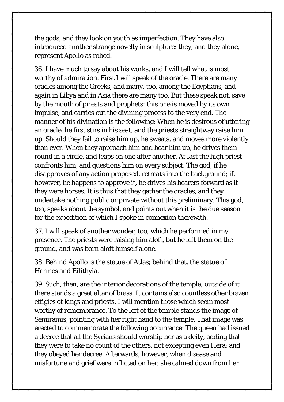the gods, and they look on youth as imperfection. They have also introduced another strange novelty in sculpture: they, and they alone, represent Apollo as robed.

36. I have much to say about his works, and I will tell what is most worthy of admiration. First I will speak of the oracle. There are many oracles among the Greeks, and many, too, among the Egyptians, and again in Libya and in Asia there are many too. But these speak not, save by the mouth of priests and prophets: this one is moved by its own impulse, and carries out the divining process to the very end. The manner of his divination is the following: When he is desirous of uttering an oracle, he first stirs in his seat, and the priests straightway raise him up. Should they fail to raise him up, he sweats, and moves more violently than ever. When they approach him and bear him up, he drives them round in a circle, and leaps on one after another. At last the high priest confronts him, and questions him on every subject. The god, if he disapproves of any action proposed, retreats into the background; if, however, he happens to approve it, he drives his bearers forward as if they were horses. It is thus that they gather the oracles, and they undertake nothing public or private without this preliminary. This god, too, speaks about the symbol, and points out when it is the due season for the expedition of which I spoke in connexion therewith.

37. I will speak of another wonder, too, which he performed in my presence. The priests were raising him aloft, but he left them on the ground, and was born aloft himself alone.

38. Behind Apollo is the statue of Atlas; behind that, the statue of Hermes and Eilithyia.

39. Such, then, are the interior decorations of the temple; outside of it there stands a great altar of brass. It contains also countless other brazen effigies of kings and priests. I will mention those which seem most worthy of remembrance. To the left of the temple stands the image of Semiramis, pointing with her right hand to the temple. That image was erected to commemorate the following occurrence: The queen had issued a decree that all the Syrians should worship her as a deity, adding that they were to take no count of the others, not excepting even Hera; and they obeyed her decree. Afterwards, however, when disease and misfortune and grief were inflicted on her, she calmed down from her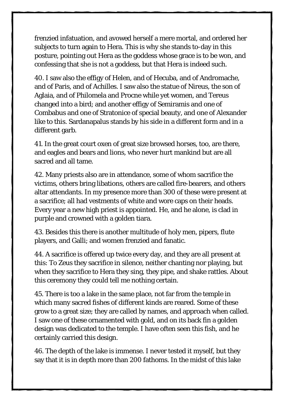frenzied infatuation, and avowed herself a mere mortal, and ordered her subjects to turn again to Hera. This is why she stands to-day in this posture, pointing out Hera as the goddess whose grace is to be won, and confessing that she is not a goddess, but that Hera is indeed such.

40. I saw also the effigy of Helen, and of Hecuba, and of Andromache, and of Paris, and of Achilles. I saw also the statue of Nireus, the son of Aglaia, and of Philomela and Procne while yet women, and Tereus changed into a bird; and another effigy of Semiramis and one of Combabus and one of Stratonice of special beauty, and one of Alexander like to this. Sardanapalus stands by his side in a different form and in a different garb.

41. In the great court oxen of great size browsed horses, too, are there, and eagles and bears and lions, who never hurt mankind but are all sacred and all tame.

42. Many priests also are in attendance, some of whom sacrifice the victims, others bring libations, others are called fire-bearers, and others altar attendants. In my presence more than 300 of these were present at a sacrifice; all had vestments of white and wore caps on their heads. Every year a new high priest is appointed. He, and he alone, is clad in purple and crowned with a golden tiara.

43. Besides this there is another multitude of holy men, pipers, flute players, and Galli; and women frenzied and fanatic.

44. A sacrifice is offered up twice every day, and they are all present at this: To Zeus they sacrifice in silence, neither chanting nor playing, but when they sacrifice to Hera they sing, they pipe, and shake rattles. About this ceremony they could tell me nothing certain.

45. There is too a lake in the same place, not far from the temple in which many sacred fishes of different kinds are reared. Some of these grow to a great size; they are called by names, and approach when called. I saw one of these ornamented with gold, and on its back fin a golden design was dedicated to the temple. I have often seen this fish, and he certainly carried this design.

46. The depth of the lake is immense. I never tested it myself, but they say that it is in depth more than 200 fathoms. In the midst of this lake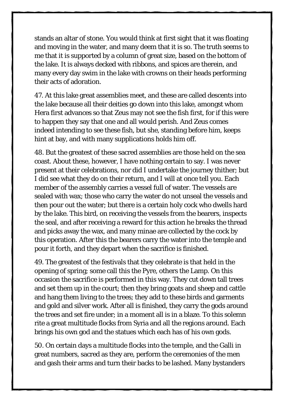stands an altar of stone. You would think at first sight that it was floating and moving in the water, and many deem that it is so. The truth seems to me that it is supported by a column of great size, based on the bottom of the lake. It is always decked with ribbons, and spices are therein, and many every day swim in the lake with crowns on their heads performing their acts of adoration.

47. At this lake great assemblies meet, and these are called descents into the lake because all their deities go down into this lake, amongst whom Hera first advances so that Zeus may not see the fish first, for if this were to happen they say that one and all would perish. And Zeus comes indeed intending to see these fish, but she, standing before him, keeps hint at bay, and with many supplications holds him off.

48. But the greatest of these sacred assemblies are those held on the sea coast. About these, however, I have nothing certain to say. I was never present at their celebrations, nor did I undertake the journey thither; but I did see what they do on their return, and I will at once tell you. Each member of the assembly carries a vessel full of water. The vessels are sealed with wax; those who carry the water do not unseal the vessels and then pour out the water; but there is a certain holy cock who dwells hard by the lake. This bird, on receiving the vessels from the bearers, inspects the seal, and after receiving a reward for this action he breaks the thread and picks away the wax, and many minae are collected by the cock by this operation. After this the bearers carry the water into the temple and pour it forth, and they depart when the sacrifice is finished.

49. The greatest of the festivals that they celebrate is that held in the opening of spring; some call this the Pyre, others the Lamp. On this occasion the sacrifice is performed in this way. They cut down tall trees and set them up in the court; then they bring goats and sheep and cattle and hang them living to the trees; they add to these birds and garments and gold and silver work. After all is finished, they carry the gods around the trees and set fire under; in a moment all is in a blaze. To this solemn rite a great multitude flocks from Syria and all the regions around. Each brings his own god and the statues which each has of his own gods.

50. On certain days a multitude flocks into the temple, and the Galli in great numbers, sacred as they are, perform the ceremonies of the men and gash their arms and turn their backs to be lashed. Many bystanders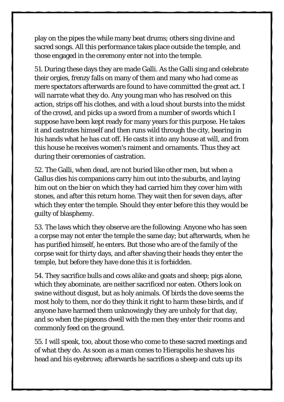play on the pipes the while many beat drums; others sing divine and sacred songs. All this performance takes place outside the temple, and those engaged in the ceremony enter not into the temple.

51. During these days they are made Galli. As the Galli sing and celebrate their orgies, frenzy falls on many of them and many who had come as mere spectators afterwards are found to have committed the great act. I will narrate what they do. Any young man who has resolved on this action, strips off his clothes, and with a loud shout bursts into the midst of the crowd, and picks up a sword from a number of swords which I suppose have been kept ready for many years for this purpose. He takes it and castrates himself and then runs wild through the city, bearing in his hands what he has cut off. He casts it into any house at will, and from this house he receives women's raiment and ornaments. Thus they act during their ceremonies of castration.

52. The Galli, when dead, are not buried like other men, but when a Gallus dies his companions carry him out into the suburbs, and laying him out on the bier on which they had carried him they cover him with stones, and after this return home. They wait then for seven days, after which they enter the temple. Should they enter before this they would be guilty of blasphemy.

53. The laws which they observe are the following: Anyone who has seen a corpse may not enter the temple the same day; but afterwards, when he has purified himself, he enters. But those who are of the family of the corpse wait for thirty days, and after shaving their heads they enter the temple, but before they have done this it is forbidden.

54. They sacrifice bulls and cows alike and goats and sheep; pigs alone, which they abominate, are neither sacrificed nor eaten. Others look on swine without disgust, but as holy animals. Of birds the dove seems the most holy to them, nor do they think it right to harm these birds, and if anyone have harmed them unknowingly they are unholy for that day, and so when the pigeons dwell with the men they enter their rooms and commonly feed on the ground.

55. I will speak, too, about those who come to these sacred meetings and of what they do. As soon as a man comes to Hierapolis he shaves his head and his eyebrows; afterwards he sacrifices a sheep and cuts up its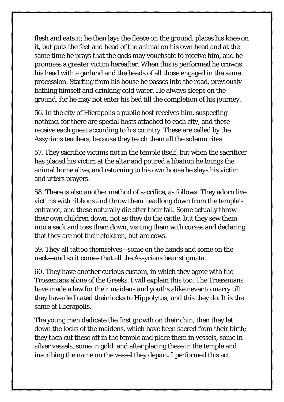flesh and eats it; he then lays the fleece on the ground, places his knee on it, but puts the feet and head of the animal on his own head and at the same time he prays that the gods may vouchsafe to receive him, and he promises a greater victim hereafter. When this is performed he crowns his head with a garland and the heads of all those engaged in the same procession. Starting from his house he passes into the road, previously bathing himself and drinking cold water. He always sleeps on the ground, for he may not enter his bed till the completion of his journey.

56. In the city of Hierapolis a public host receives him, suspecting nothing, for there are special hosts attached to each city, and these receive each guest according to his country. These are called by the Assyrians teachers, because they teach them all the solemn rites.

57. They sacrifice victims not in the temple itself, but when the sacrificer has placed his victim at the altar and poured a libation he brings the animal home alive, and returning to his own house he slays his victim and utters prayers.

58. There is also another method of sacrifice, as follows: They adorn live victims with ribbons and throw them headlong down from the temple's entrance, and these naturally die after their fall. Some actually throw their own children down, not as they do the cattle, but they sew them into a sack and toss them down, visiting them with curses and declaring that they are not their children, but are cows.

59. They all tattoo themselves—some on the hands and some on the neck—and so it comes that all the Assyrians bear stigmata.

60. They have another curious custom, in which they agree with the Trœzenians alone of the Greeks. I will explain this too. The Trœzenians have made a law for their maidens and youths alike never to marry till they have dedicated their locks to Hippolytus; and this they do. It is the same at Hierapolis.

The young men dedicate the first growth on their chin, then they let down the locks of the maidens, which have been sacred from their birth; they then cut these off in the temple and place them in vessels, some in silver vessels, some in gold, and after placing these in the temple and inscribing the name on the vessel they depart. I performed this act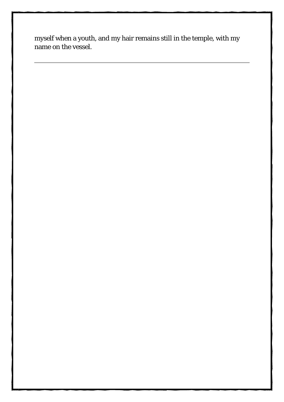myself when a youth, and my hair remains still in the temple, with my name on the vessel.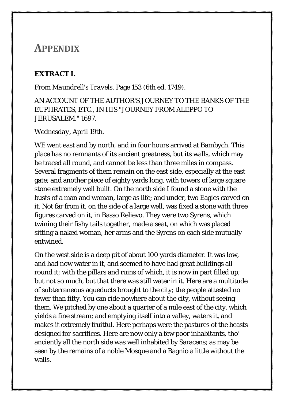## <span id="page-44-0"></span>**APPENDIX**

### **EXTRACT I.**

From *Maundrell's Travels*. Page 153 (6th ed. 1749).

AN ACCOUNT OF THE AUTHOR'S JOURNEY TO THE BANKS OF THE EUPHRATES, ETC., IN HIS "JOURNEY FROM ALEPPO TO JERUSALEM." 1697.

41

#### *Wednesday, April* 19*th*.

WE went east and by north, and in four hours arrived at Bambych. This place has no remnants of its ancient greatness, but its walls, which may be traced all round, and cannot be less than three miles in compass. Several fragments of them remain on the east side, especially at the east gate; and another piece of eighty yards long, with towers of large square stone extremely well built. On the north side I found a stone with the busts of a man and woman, large as life; and under, two Eagles carved on it. Not far from it, on the side of a large well, was fixed a stone with three figures carved on it, in Basso Relievo. They were two Syrens, which twining their fishy tails together, made a seat, on which was placed sitting a naked woman, her arms and the Syrens on each side mutually entwined.

On the west side is a deep pit of about 100 yards diameter. It was low, and had now water in it, and seemed to have had great buildings all round it; with the pillars and ruins of which, it is now in part filled up; but not so much, but that there was still water in it. Here are a multitude of subterraneous aqueducts brought to the city; the people attested no fewer than fifty. You can ride nowhere about the city, without seeing them. We pitched by one about a quarter of a mile east of the city, which yields a fine stream; and emptying itself into a valley, waters it, and makes it extremely fruitful. Here perhaps were the pastures of the beasts designed for sacrifices. Here are now only a few poor inhabitants, tho' anciently all the north side was well inhabited by Saracens; as may be seen by the remains of a noble Mosque and a Bagnio a little without the walls.